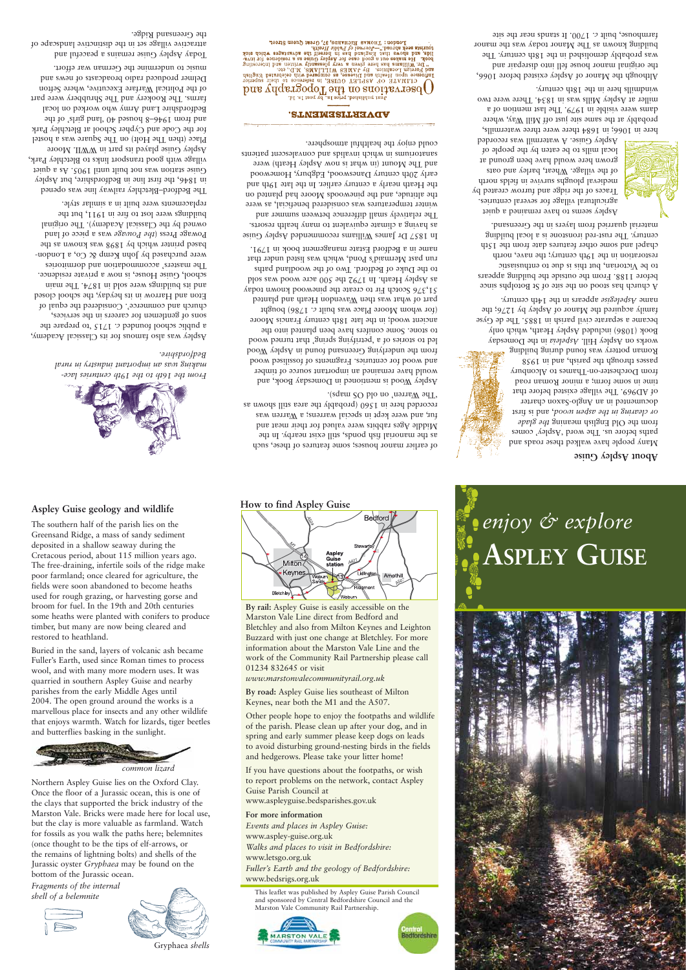## **Aspley Guise geology and wildlife**

The southern half of the parish lies on the Greensand Ridge, a mass of sandy sediment deposited in a shallow seaway during the Cretacous period, about 115 million years ago. The free-draining, infertile soils of the ridge make poor farmland; once cleared for agriculture, the fields were soon abandoned to become heaths used for rough grazing, or harvesting gorse and broom for fuel. In the 19th and 20th centuries some heaths were planted with conifers to produce timber, but many are now being cleared and restored to heathland.

Buried in the sand, layers of volcanic ash became Fuller's Earth, used since Roman times to process wool, and with many more modern uses. It was quarried in southern Aspley Guise and nearby parishes from the early Middle Ages until 2004. The open ground around the works is a marvellous place for insects and any other wildlife that enjoys warmth. Watch for lizards, tiger beetles and butterflies basking in the sunlight.



Northern Aspley Guise lies on the Oxford Clay. Once the floor of a Jurassic ocean, this is one of the clays that supported the brick industry of the Marston Vale. Bricks were made here for local use, but the clay is more valuable as farmland. Watch for fossils as you walk the paths here; belemnites (once thought to be the tips of elf-arrows, or the remains of lightning bolts) and shells of the Jurassic oyster *Gryphaea* may be found on the bottom of the Jurassic ocean.

*Fragments of the internal shell of a belemnite*





Gryphaea *shells*

### **How to find Aspley Guise**



**By rail:** Aspley Guise is easily accessible on the Marston Vale Line direct from Bedford and Bletchley and also from Milton Keynes and Leighton Buzzard with just one change at Bletchley. For more information about the Marston Vale Line and the work of the Community Rail Partnership please call 01234 832645 or visit *www.marstonvalecommunityrail.org.uk*

**By road:** Aspley Guise lies southeast of Milton Keynes, near both the M1 and the A507.

Other people hope to enjoy the footpaths and wildlife of the parish. Please clean up after your dog, and in spring and early summer please keep dogs on leads to avoid disturbing ground-nesting birds in the fields and hedgerows. Please take your litter home!

If you have questions about the footpaths, or wish to report problems on the network, contact Aspley Guise Parish Council at www.aspleyguise.bedsparishes.gov.uk

**For more information** *Events and places in Aspley Guise:* www.aspley-guise.org.uk *Walks and places to visit in Bedfordshire:* www.letsgo.org.uk *Fuller's Earth and the geology of Bedfordshire:* www.bedsrigs.org.uk

This leaflet was published by Aspley Guise Parish Council and sponsored by Central Bedfordshire Council and the Marston Vale Community Rail Partnership.

Bedfordshin



# *enjoy & explore* **Aspley Guise**

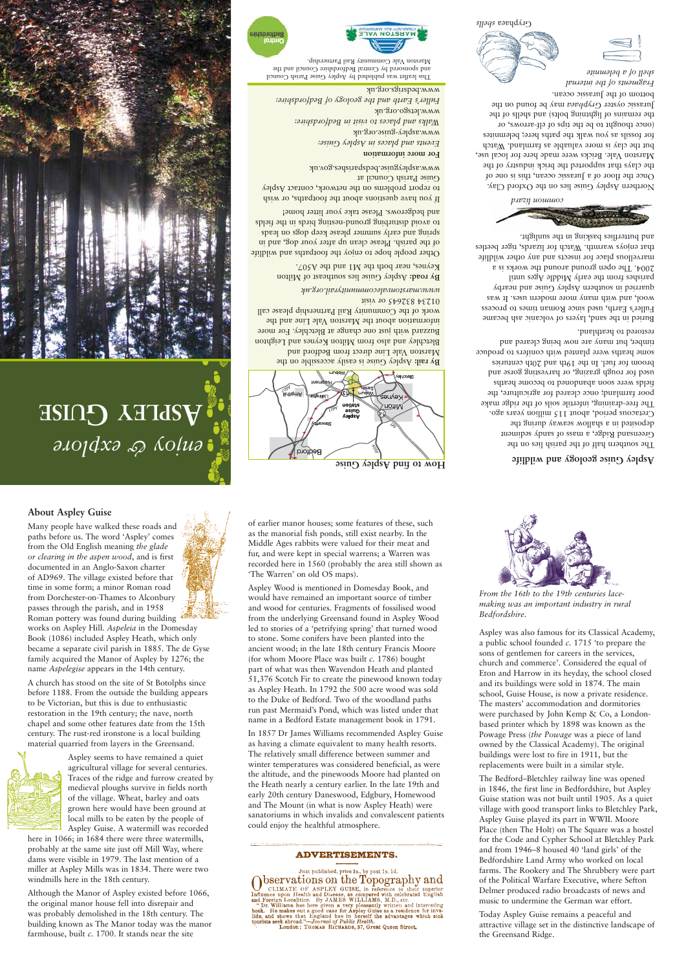### **About Aspley Guise**

Many people have walked these roads and paths before us. The word 'Aspley' comes from the Old English meaning *the glade or clearing in the aspen wood*, and is first documented in an Anglo-Saxon charter of AD969. The village existed before that time in some form; a minor Roman road from Dorchester-on-Thames to Alconbury passes through the parish, and in 1958 Roman pottery was found during building works on Aspley Hill. *Aspeleia* in the Domesday

Book (1086) included Aspley Heath, which only became a separate civil parish in 1885. The de Gyse family acquired the Manor of Aspley by 1276; the name *Aspelegise* appears in the 14th century.

A church has stood on the site of St Botolphs since before 1188. From the outside the building appears to be Victorian, but this is due to enthusiastic restoration in the 19th century; the nave, north chapel and some other features date from the 15th century. The rust-red ironstone is a local building material quarried from layers in the Greensand.



Aspley seems to have remained a quiet agricultural village for several centuries. Traces of the ridge and furrow created by medieval ploughs survive in fields north of the village. Wheat, barley and oats grown here would have been ground at local mills to be eaten by the people of Aspley Guise. A watermill was recorded

here in 1066; in 1684 there were three watermills, probably at the same site just off Mill Way, where dams were visible in 1979. The last mention of a miller at Aspley Mills was in 1834. There were two windmills here in the 18th century.

Although the Manor of Aspley existed before 1066, the original manor house fell into disrepair and was probably demolished in the 18th century. The building known as The Manor today was the manor farmhouse, built *c.* 1700. It stands near the site

of earlier manor houses; some features of these, such as the manorial fish ponds, still exist nearby. In the Middle Ages rabbits were valued for their meat and fur, and were kept in special warrens; a Warren was recorded here in 1560 (probably the area still shown as 'The Warren' on old OS maps).

Aspley Wood is mentioned in Domesday Book, and would have remained an important source of timber and wood for centuries. Fragments of fossilised wood from the underlying Greensand found in Aspley Wood led to stories of a 'petrifying spring' that turned wood to stone. Some conifers have been planted into the ancient wood; in the late 18th century Francis Moore (for whom Moore Place was built *c.* 1786) bought part of what was then Wavendon Heath and planted 51,376 Scotch Fir to create the pinewood known today as Aspley Heath. In 1792 the 500 acre wood was sold to the Duke of Bedford. Two of the woodland paths run past Mermaid's Pond, which was listed under that name in a Bedford Estate management book in 1791.

In 1857 Dr James Williams recommended Aspley Guise as having a climate equivalent to many health resorts. The relatively small difference between summer and winter temperatures was considered beneficial, as were the altitude, and the pinewoods Moore had planted on the Heath nearly a century earlier. In the late 19th and early 20th century Daneswood, Edgbury, Homewood and The Mount (in what is now Aspley Heath) were sanatoriums in which invalids and convalescent patients could enjoy the healthful atmosphere.

#### **ADVERTISEMENTS.**

Just published, price 1s., by post 1s. 1d. Just published, price 1s., by post 1s. 1d.<br>
CLIMATE OF ASPLEY GUISE, in reference to their superior<br>
Influence upon Health and Disease, as compared with celebrated English<br>
and Foreign Localities. By JAMES WILLIAMS, M.D.,



*From the 16th to the 19th centuries lacemaking was an important industry in rural Bedfordshire.*

Aspley was also famous for its Classical Academy, a public school founded *c.* 1715 'to prepare the sons of gentlemen for careers in the services, church and commerce'. Considered the equal of Eton and Harrow in its heyday, the school closed and its buildings were sold in 1874. The main school, Guise House, is now a private residence. The masters' accommodation and dormitories were purchased by John Kemp & Co, a Londonbased printer which by 1898 was known as the Powage Press (*the Powage* was a piece of land owned by the Classical Academy). The original buildings were lost to fire in 1911, but the replacements were built in a similar style.

The Bedford–Bletchley railway line was opened in 1846, the first line in Bedfordshire, but Aspley Guise station was not built until 1905. As a quiet village with good transport links to Bletchley Park, Aspley Guise played its part in WWII. Moore Place (then The Holt) on The Square was a hostel for the Code and Cypher School at Bletchley Park and from 1946–8 housed 40 'land girls' of the Bedfordshire Land Army who worked on local farms. The Rookery and The Shrubbery were part of the Political Warfare Executive, where Sefton Delmer produced radio broadcasts of news and music to undermine the German war effort.

Today Aspley Guise remains a peaceful and attractive village set in the distinctive landscape of the Greensand Ridge.